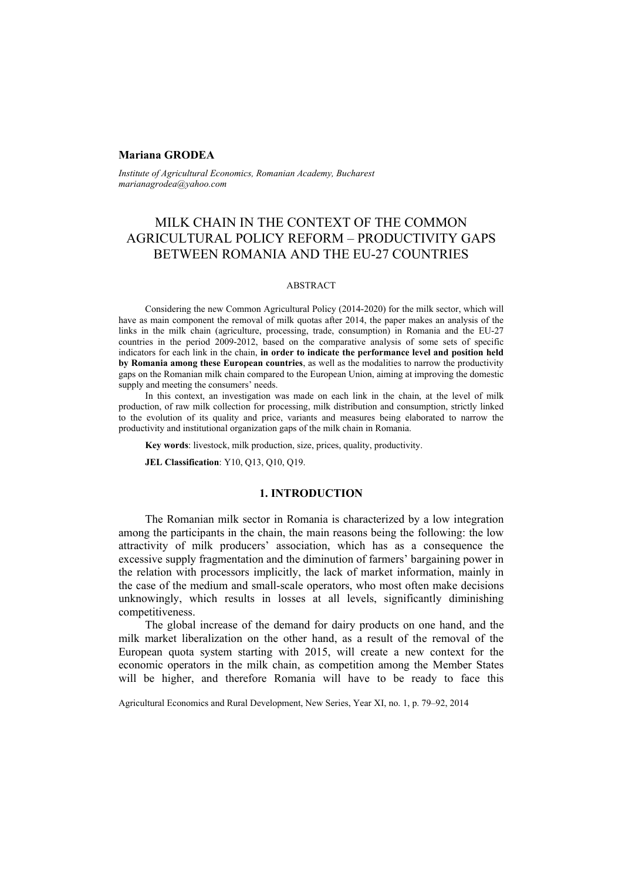### **Mariana GRODEA**

*Institute of Agricultural Economics, Romanian Academy, Bucharest marianagrodea@yahoo.com* 

# MILK CHAIN IN THE CONTEXT OF THE COMMON AGRICULTURAL POLICY REFORM – PRODUCTIVITY GAPS BETWEEN ROMANIA AND THE EU-27 COUNTRIES

#### ABSTRACT

Considering the new Common Agricultural Policy (2014-2020) for the milk sector, which will have as main component the removal of milk quotas after 2014, the paper makes an analysis of the links in the milk chain (agriculture, processing, trade, consumption) in Romania and the EU-27 countries in the period 2009-2012, based on the comparative analysis of some sets of specific indicators for each link in the chain, **in order to indicate the performance level and position held by Romania among these European countries**, as well as the modalities to narrow the productivity gaps on the Romanian milk chain compared to the European Union, aiming at improving the domestic supply and meeting the consumers' needs.

In this context, an investigation was made on each link in the chain, at the level of milk production, of raw milk collection for processing, milk distribution and consumption, strictly linked to the evolution of its quality and price, variants and measures being elaborated to narrow the productivity and institutional organization gaps of the milk chain in Romania.

**Key words**: livestock, milk production, size, prices, quality, productivity.

**JEL Classification**: Y10, Q13, Q10, Q19.

### **1. INTRODUCTION**

The Romanian milk sector in Romania is characterized by a low integration among the participants in the chain, the main reasons being the following: the low attractivity of milk producers' association, which has as a consequence the excessive supply fragmentation and the diminution of farmers' bargaining power in the relation with processors implicitly, the lack of market information, mainly in the case of the medium and small-scale operators, who most often make decisions unknowingly, which results in losses at all levels, significantly diminishing competitiveness.

The global increase of the demand for dairy products on one hand, and the milk market liberalization on the other hand, as a result of the removal of the European quota system starting with 2015, will create a new context for the economic operators in the milk chain, as competition among the Member States will be higher, and therefore Romania will have to be ready to face this

Agricultural Economics and Rural Development, New Series, Year XI, no. 1, p. 79–92, 2014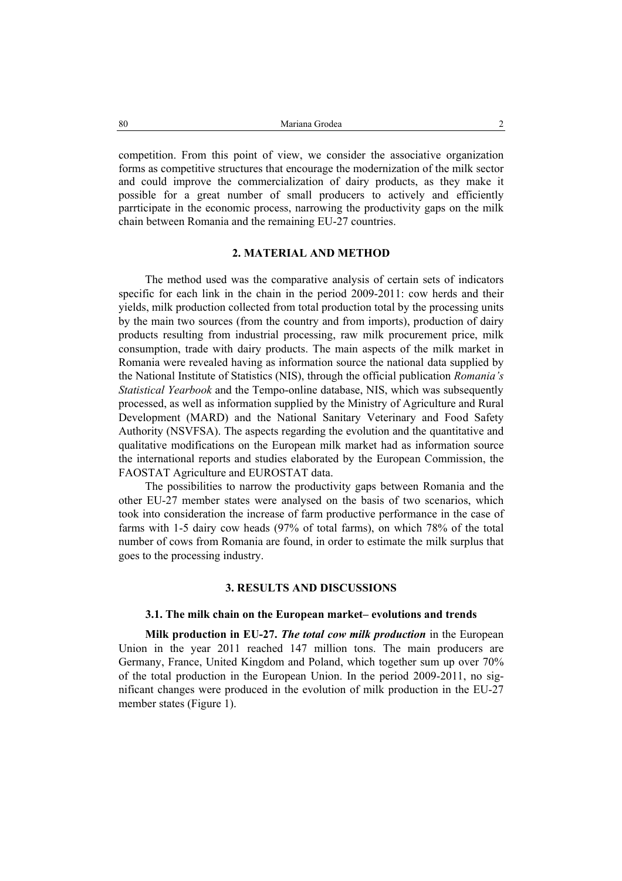competition. From this point of view, we consider the associative organization forms as competitive structures that encourage the modernization of the milk sector and could improve the commercialization of dairy products, as they make it possible for a great number of small producers to actively and efficiently parrticipate in the economic process, narrowing the productivity gaps on the milk chain between Romania and the remaining EU-27 countries.

# **2. MATERIAL AND METHOD**

The method used was the comparative analysis of certain sets of indicators specific for each link in the chain in the period 2009-2011: cow herds and their yields, milk production collected from total production total by the processing units by the main two sources (from the country and from imports), production of dairy products resulting from industrial processing, raw milk procurement price, milk consumption, trade with dairy products. The main aspects of the milk market in Romania were revealed having as information source the national data supplied by the National Institute of Statistics (NIS), through the official publication *Romania's Statistical Yearbook* and the Tempo-online database, NIS, which was subsequently processed, as well as information supplied by the Ministry of Agriculture and Rural Development (MARD) and the National Sanitary Veterinary and Food Safety Authority (NSVFSA). The aspects regarding the evolution and the quantitative and qualitative modifications on the European milk market had as information source the international reports and studies elaborated by the European Commission, the FAOSTAT Agriculture and EUROSTAT data.

The possibilities to narrow the productivity gaps between Romania and the other EU-27 member states were analysed on the basis of two scenarios, which took into consideration the increase of farm productive performance in the case of farms with 1-5 dairy cow heads (97% of total farms), on which 78% of the total number of cows from Romania are found, in order to estimate the milk surplus that goes to the processing industry.

# **3. RESULTS AND DISCUSSIONS**

### **3.1. The milk chain on the European market– evolutions and trends**

**Milk production in EU-27.** *The total cow milk production* in the European Union in the year 2011 reached 147 million tons. The main producers are Germany, France, United Kingdom and Poland, which together sum up over 70% of the total production in the European Union. In the period 2009-2011, no significant changes were produced in the evolution of milk production in the EU-27 member states (Figure 1).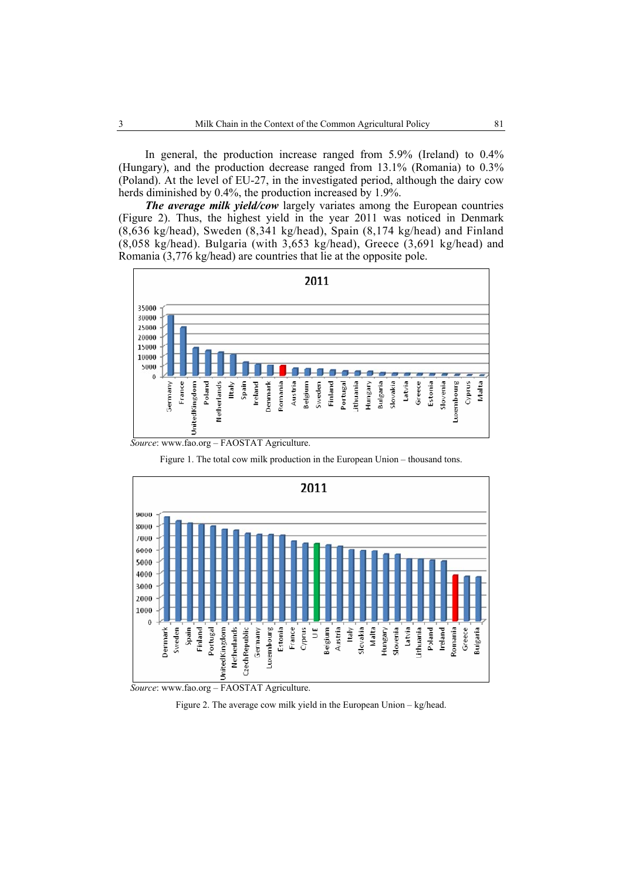In general, the production increase ranged from 5.9% (Ireland) to 0.4% (Hungary), and the production decrease ranged from 13.1% (Romania) to 0.3% (Poland). At the level of EU-27, in the investigated period, although the dairy cow herds diminished by 0.4%, the production increased by 1.9%.

*The average milk yield/cow* largely variates among the European countries (Figure 2). Thus, the highest yield in the year 2011 was noticed in Denmark (8,636 kg/head), Sweden (8,341 kg/head), Spain (8,174 kg/head) and Finland (8,058 kg/head). Bulgaria (with 3,653 kg/head), Greece (3,691 kg/head) and Romania (3,776 kg/head) are countries that lie at the opposite pole.











Figure 2. The average cow milk yield in the European Union – kg/head.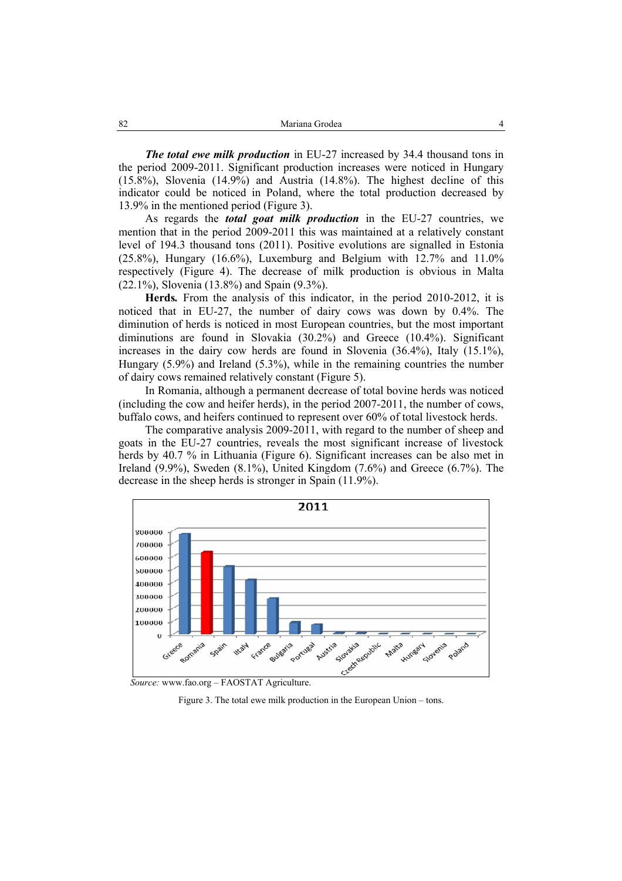*The total ewe milk production* in EU-27 increased by 34.4 thousand tons in the period 2009-2011. Significant production increases were noticed in Hungary (15.8%), Slovenia (14.9%) and Austria (14.8%). The highest decline of this indicator could be noticed in Poland, where the total production decreased by 13.9% in the mentioned period (Figure 3).

As regards the *total goat milk production* in the EU-27 countries, we mention that in the period 2009-2011 this was maintained at a relatively constant level of 194.3 thousand tons (2011). Positive evolutions are signalled in Estonia  $(25.8\%)$ , Hungary  $(16.6\%)$ , Luxemburg and Belgium with  $12.7\%$  and  $11.0\%$ respectively (Figure 4). The decrease of milk production is obvious in Malta (22.1%), Slovenia (13.8%) and Spain (9.3%).

**Herds***.* From the analysis of this indicator, in the period 2010-2012, it is noticed that in EU-27, the number of dairy cows was down by 0.4%. The diminution of herds is noticed in most European countries, but the most important diminutions are found in Slovakia (30.2%) and Greece (10.4%). Significant increases in the dairy cow herds are found in Slovenia (36.4%), Italy (15.1%), Hungary (5.9%) and Ireland (5.3%), while in the remaining countries the number of dairy cows remained relatively constant (Figure 5).

In Romania, although a permanent decrease of total bovine herds was noticed (including the cow and heifer herds), in the period 2007-2011, the number of cows, buffalo cows, and heifers continued to represent over 60% of total livestock herds.

The comparative analysis 2009-2011, with regard to the number of sheep and goats in the EU-27 countries, reveals the most significant increase of livestock herds by 40.7 % in Lithuania (Figure 6). Significant increases can be also met in Ireland  $(9.9\%)$ , Sweden  $(8.1\%)$ , United Kingdom  $(7.6\%)$  and Greece  $(6.7\%)$ . The decrease in the sheep herds is stronger in Spain (11.9%).



 *Source:* www.fao.org – FAOSTAT Agriculture.

Figure 3. The total ewe milk production in the European Union – tons.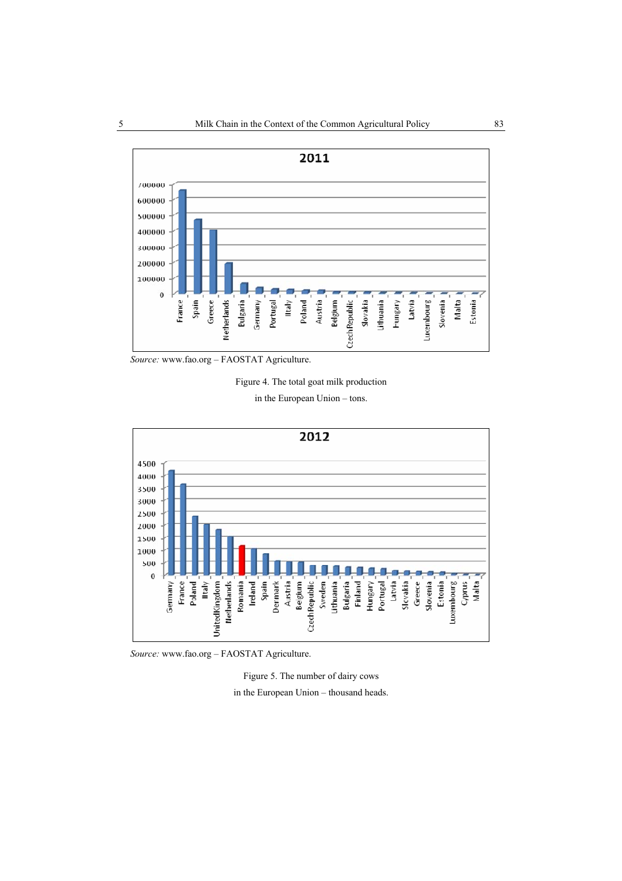

 *Source:* www.fao.org – FAOSTAT Agriculture.



in the European Union – tons.



 *Source:* www.fao.org – FAOSTAT Agriculture.

Figure 5. The number of dairy cows in the European Union – thousand heads.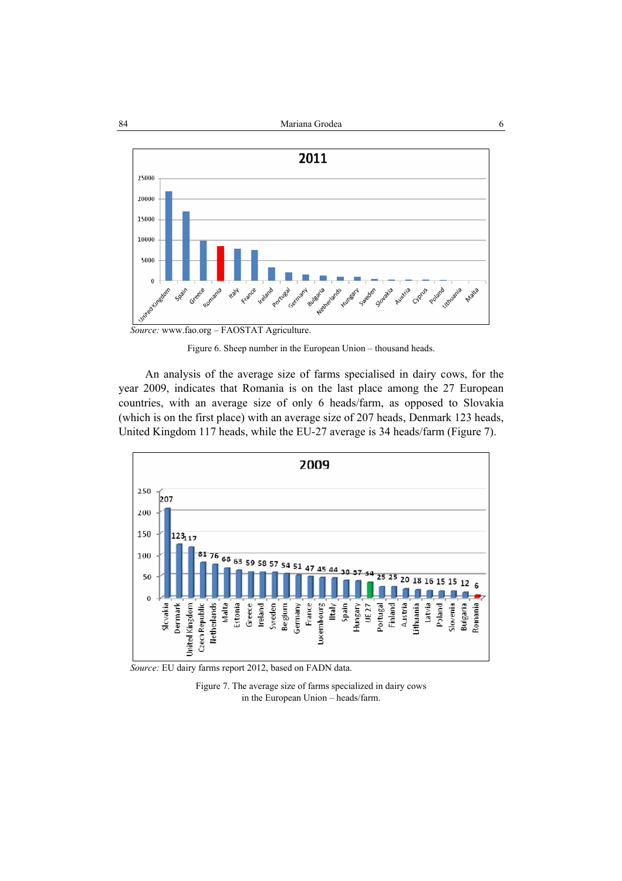

Figure 6. Sheep number in the European Union – thousand heads.

An analysis of the average size of farms specialised in dairy cows, for the year 2009, indicates that Romania is on the last place among the 27 European countries, with an average size of only 6 heads/farm, as opposed to Slovakia (which is on the first place) with an average size of 207 heads, Denmark 123 heads, United Kingdom 117 heads, while the EU-27 average is 34 heads/farm (Figure 7).



 *Source:* EU dairy farms report 2012, based on FADN data.

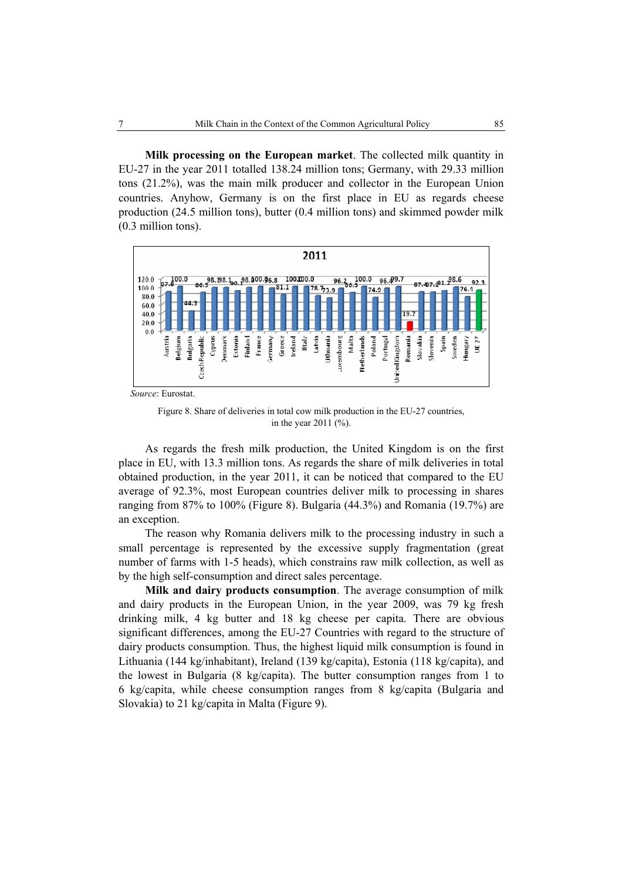**Milk processing on the European market**. The collected milk quantity in EU-27 in the year 2011 totalled 138.24 million tons; Germany, with 29.33 million tons (21.2%), was the main milk producer and collector in the European Union countries. Anyhow, Germany is on the first place in EU as regards cheese production (24.5 million tons), butter (0.4 million tons) and skimmed powder milk (0.3 million tons).



 *Source*: Eurostat.

Figure 8. Share of deliveries in total cow milk production in the EU-27 countries, in the year 2011 (%).

As regards the fresh milk production, the United Kingdom is on the first place in EU, with 13.3 million tons. As regards the share of milk deliveries in total obtained production, in the year 2011, it can be noticed that compared to the EU average of 92.3%, most European countries deliver milk to processing in shares ranging from 87% to 100% (Figure 8). Bulgaria (44.3%) and Romania (19.7%) are an exception.

The reason why Romania delivers milk to the processing industry in such a small percentage is represented by the excessive supply fragmentation (great number of farms with 1-5 heads), which constrains raw milk collection, as well as by the high self-consumption and direct sales percentage.

**Milk and dairy products consumption**. The average consumption of milk and dairy products in the European Union, in the year 2009, was 79 kg fresh drinking milk, 4 kg butter and 18 kg cheese per capita. There are obvious significant differences, among the EU-27 Countries with regard to the structure of dairy products consumption. Thus, the highest liquid milk consumption is found in Lithuania (144 kg/inhabitant), Ireland (139 kg/capita), Estonia (118 kg/capita), and the lowest in Bulgaria (8 kg/capita). The butter consumption ranges from 1 to 6 kg/capita, while cheese consumption ranges from 8 kg/capita (Bulgaria and Slovakia) to 21 kg/capita in Malta (Figure 9).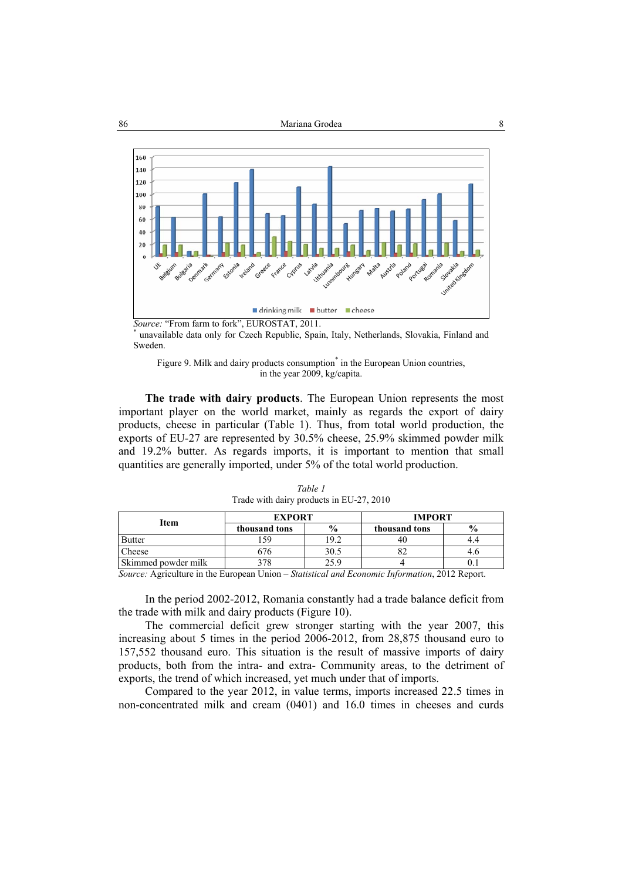

*Source:* "From farm to fork", EUROSTAT, 2011.

 unavailable data only for Czech Republic, Spain, Italy, Netherlands, Slovakia, Finland and Sweden.



**The trade with dairy products**. The European Union represents the most important player on the world market, mainly as regards the export of dairy products, cheese in particular (Table 1). Thus, from total world production, the exports of EU-27 are represented by 30.5% cheese, 25.9% skimmed powder milk and 19.2% butter. As regards imports, it is important to mention that small quantities are generally imported, under 5% of the total world production.

| Item                | <b>EXPORT</b> |               | <b>IMPORT</b> |               |  |
|---------------------|---------------|---------------|---------------|---------------|--|
|                     | thousand tons | $\frac{6}{9}$ | thousand tons | $\frac{6}{9}$ |  |
| <b>Butter</b>       | 59            | 9.2           | 40            |               |  |
| Cheese              | 0 / 0         | 30.5          |               |               |  |
| Skimmed powder milk |               | 25.9          |               |               |  |

*Table 1*  Trade with dairy products in EU-27, 2010

*Source:* Agriculture in the European Union – *Statistical and Economic Information*, 2012 Report.

In the period 2002-2012, Romania constantly had a trade balance deficit from the trade with milk and dairy products (Figure 10).

The commercial deficit grew stronger starting with the year 2007, this increasing about 5 times in the period 2006-2012, from 28,875 thousand euro to 157,552 thousand euro. This situation is the result of massive imports of dairy products, both from the intra- and extra- Community areas, to the detriment of exports, the trend of which increased, yet much under that of imports.

Compared to the year 2012, in value terms, imports increased 22.5 times in non-concentrated milk and cream (0401) and 16.0 times in cheeses and curds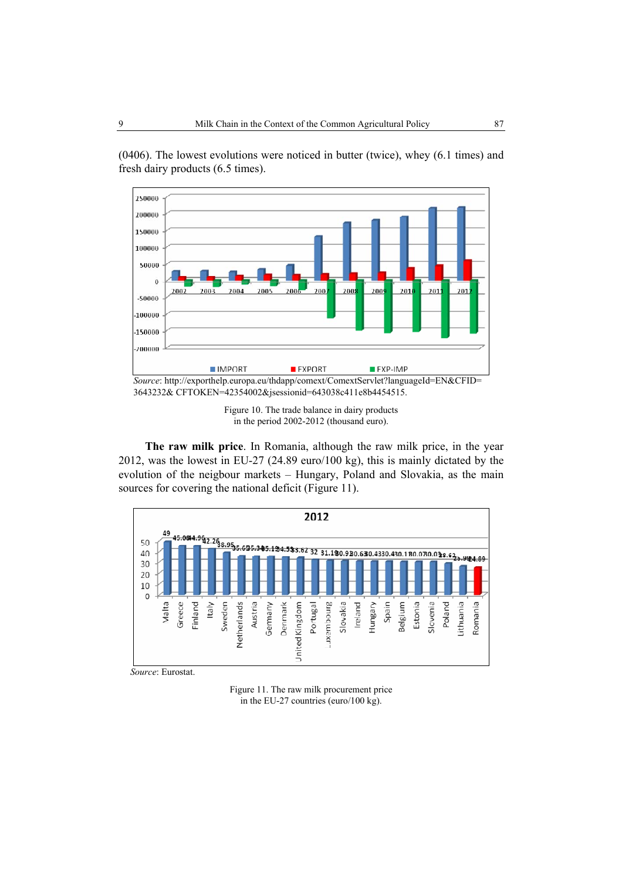

(0406). The lowest evolutions were noticed in butter (twice), whey (6.1 times) and fresh dairy products (6.5 times).

**The raw milk price**. In Romania, although the raw milk price, in the year 2012, was the lowest in EU-27 (24.89 euro/100 kg), this is mainly dictated by the evolution of the neigbour markets – Hungary, Poland and Slovakia, as the main sources for covering the national deficit (Figure 11).



 *Source*: Eurostat.

Figure 11. The raw milk procurement price in the EU-27 countries (euro/100 kg).

Figure 10. The trade balance in dairy products in the period 2002-2012 (thousand euro).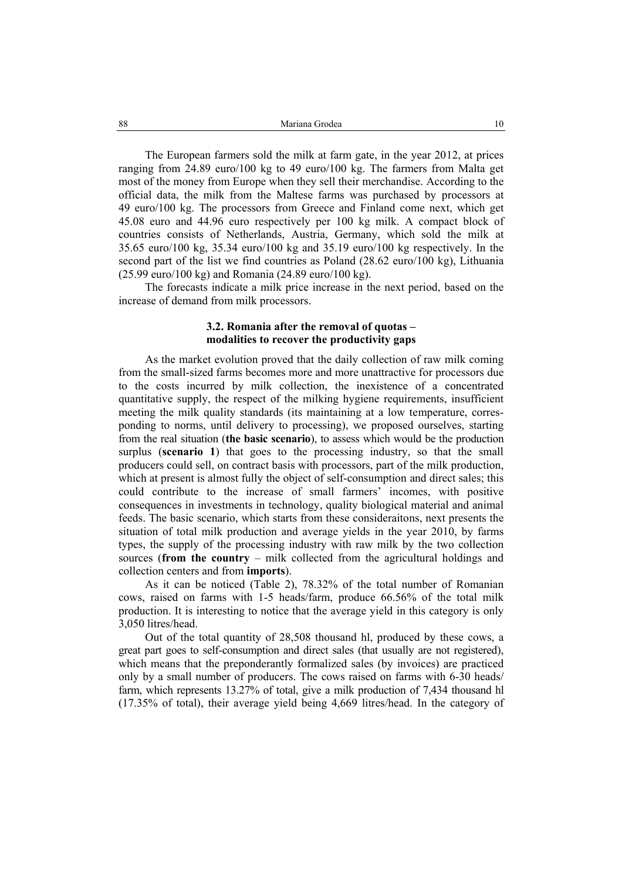The European farmers sold the milk at farm gate, in the year 2012, at prices ranging from 24.89 euro/100 kg to 49 euro/100 kg. The farmers from Malta get most of the money from Europe when they sell their merchandise. According to the official data, the milk from the Maltese farms was purchased by processors at 49 euro/100 kg. The processors from Greece and Finland come next, which get 45.08 euro and 44.96 euro respectively per 100 kg milk. A compact block of countries consists of Netherlands, Austria, Germany, which sold the milk at 35.65 euro/100 kg, 35.34 euro/100 kg and 35.19 euro/100 kg respectively. In the second part of the list we find countries as Poland (28.62 euro/100 kg), Lithuania (25.99 euro/100 kg) and Romania (24.89 euro/100 kg).

The forecasts indicate a milk price increase in the next period, based on the increase of demand from milk processors.

# **3.2. Romania after the removal of quotas – modalities to recover the productivity gaps**

As the market evolution proved that the daily collection of raw milk coming from the small-sized farms becomes more and more unattractive for processors due to the costs incurred by milk collection, the inexistence of a concentrated quantitative supply, the respect of the milking hygiene requirements, insufficient meeting the milk quality standards (its maintaining at a low temperature, corresponding to norms, until delivery to processing), we proposed ourselves, starting from the real situation (**the basic scenario**), to assess which would be the production surplus (**scenario 1**) that goes to the processing industry, so that the small producers could sell, on contract basis with processors, part of the milk production, which at present is almost fully the object of self-consumption and direct sales; this could contribute to the increase of small farmers' incomes, with positive consequences in investments in technology, quality biological material and animal feeds. The basic scenario, which starts from these consideraitons, next presents the situation of total milk production and average yields in the year 2010, by farms types, the supply of the processing industry with raw milk by the two collection sources (**from the country** – milk collected from the agricultural holdings and collection centers and from **imports**).

As it can be noticed (Table 2), 78.32% of the total number of Romanian cows, raised on farms with 1-5 heads/farm, produce 66.56% of the total milk production. It is interesting to notice that the average yield in this category is only 3,050 litres/head.

Out of the total quantity of 28,508 thousand hl, produced by these cows, a great part goes to self-consumption and direct sales (that usually are not registered), which means that the preponderantly formalized sales (by invoices) are practiced only by a small number of producers. The cows raised on farms with 6-30 heads/ farm, which represents 13.27% of total, give a milk production of 7,434 thousand hl (17.35% of total), their average yield being 4,669 litres/head. In the category of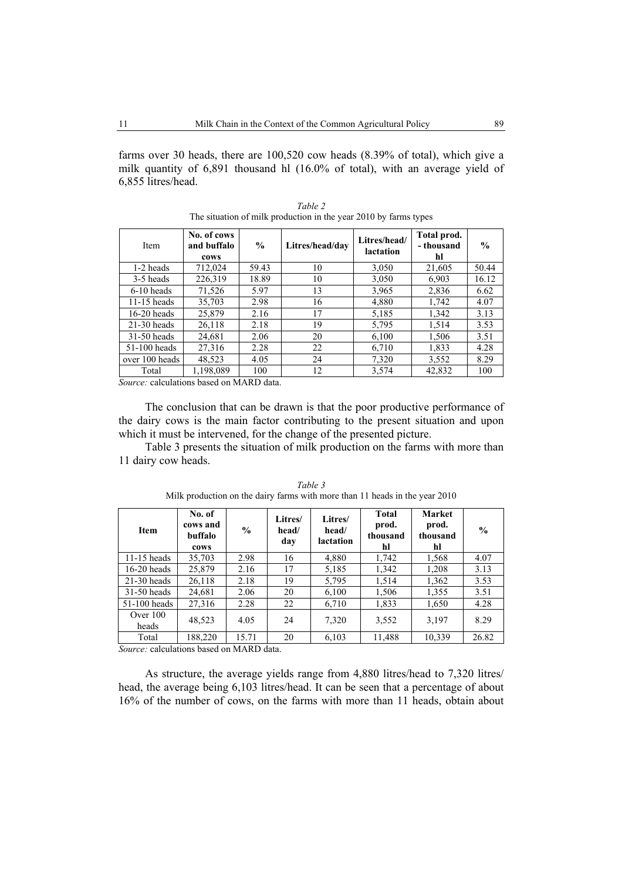farms over 30 heads, there are 100,520 cow heads (8.39% of total), which give a milk quantity of 6,891 thousand hl (16.0% of total), with an average yield of 6,855 litres/head.

| <b>Item</b>    | No. of cows<br>and buffalo<br>cows | $\frac{0}{0}$ | Litres/head/dav | Litres/head/<br>lactation | Total prod.<br>- thousand<br>hl | $\frac{6}{9}$ |
|----------------|------------------------------------|---------------|-----------------|---------------------------|---------------------------------|---------------|
| 1-2 heads      | 712,024                            | 59.43         | 10              | 3,050                     | 21,605                          | 50.44         |
| 3-5 heads      | 226,319                            | 18.89         | 10              | 3,050                     | 6,903                           | 16.12         |
| $6-10$ heads   | 71,526                             | 5.97          | 13              | 3,965                     | 2,836                           | 6.62          |
| $11-15$ heads  | 35,703                             | 2.98          | 16              | 4,880                     | 1,742                           | 4.07          |
| $16-20$ heads  | 25.879                             | 2.16          | 17              | 5,185                     | 1,342                           | 3.13          |
| $21-30$ heads  | 26,118                             | 2.18          | 19              | 5,795                     | 1,514                           | 3.53          |
| $31-50$ heads  | 24,681                             | 2.06          | 20              | 6,100                     | 1,506                           | 3.51          |
| $51-100$ heads | 27,316                             | 2.28          | 22              | 6,710                     | 1,833                           | 4.28          |
| over 100 heads | 48,523                             | 4.05          | 24              | 7,320                     | 3,552                           | 8.29          |
| Total          | 1,198,089                          | 100           | 12              | 3,574                     | 42,832                          | 100           |

*Table 2*  The situation of milk production in the year 2010 by farms types

*Source:* calculations based on MARD data.

The conclusion that can be drawn is that the poor productive performance of the dairy cows is the main factor contributing to the present situation and upon which it must be intervened, for the change of the presented picture.

Table 3 presents the situation of milk production on the farms with more than 11 dairy cow heads.

| <b>Item</b>         | No. of<br>cows and<br>buffalo<br>cows | $\frac{0}{0}$ | Litres/<br>head/<br>day | Litres/<br>head/<br>lactation | <b>Total</b><br>prod.<br>thousand<br>hl | Market<br>prod.<br>thousand<br>hl | $\frac{6}{9}$ |
|---------------------|---------------------------------------|---------------|-------------------------|-------------------------------|-----------------------------------------|-----------------------------------|---------------|
| $11-15$ heads       | 35,703                                | 2.98          | 16                      | 4,880                         | 1,742                                   | 1,568                             | 4.07          |
| $16-20$ heads       | 25,879                                | 2.16          | 17                      | 5,185                         | 1,342                                   | 1,208                             | 3.13          |
| $21-30$ heads       | 26,118                                | 2.18          | 19                      | 5,795                         | 1,514                                   | 1,362                             | 3.53          |
| $31-50$ heads       | 24,681                                | 2.06          | 20                      | 6,100                         | 1,506                                   | 1,355                             | 3.51          |
| $51-100$ heads      | 27,316                                | 2.28          | 22                      | 6,710                         | 1,833                                   | 1,650                             | 4.28          |
| Over $100$<br>heads | 48,523                                | 4.05          | 24                      | 7,320                         | 3,552                                   | 3,197                             | 8.29          |
| Total               | 188,220                               | 15.71         | 20                      | 6,103                         | 11,488                                  | 10,339                            | 26.82         |

*Table 3*  Milk production on the dairy farms with more than 11 heads in the year 2010

*Source:* calculations based on MARD data.

As structure, the average yields range from 4,880 litres/head to 7,320 litres/ head, the average being 6,103 litres/head. It can be seen that a percentage of about 16% of the number of cows, on the farms with more than 11 heads, obtain about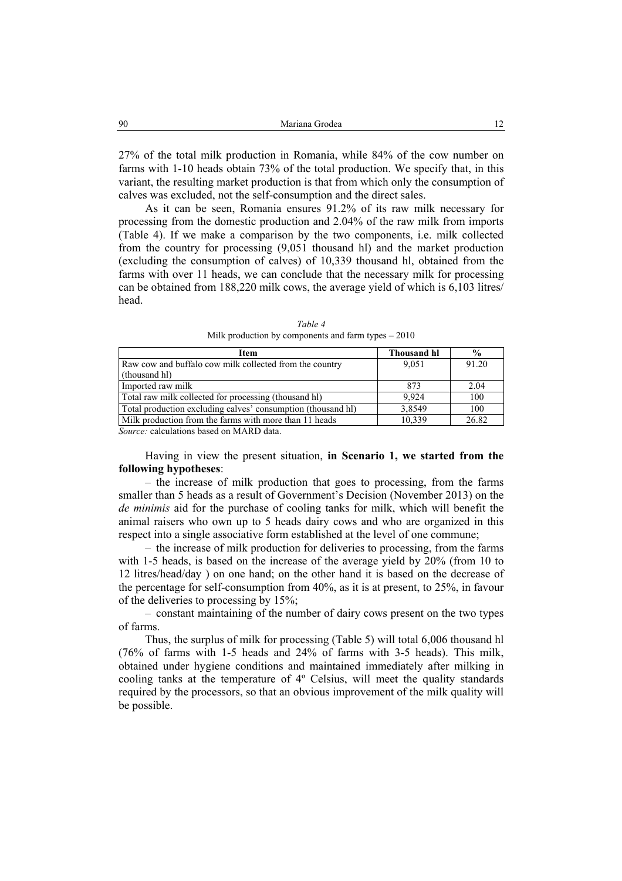27% of the total milk production in Romania, while 84% of the cow number on farms with 1-10 heads obtain 73% of the total production. We specify that, in this variant, the resulting market production is that from which only the consumption of calves was excluded, not the self-consumption and the direct sales.

As it can be seen, Romania ensures 91.2% of its raw milk necessary for processing from the domestic production and 2.04% of the raw milk from imports (Table 4). If we make a comparison by the two components, i.e. milk collected from the country for processing (9,051 thousand hl) and the market production (excluding the consumption of calves) of 10,339 thousand hl, obtained from the farms with over 11 heads, we can conclude that the necessary milk for processing can be obtained from 188,220 milk cows, the average yield of which is 6,103 litres/ head.

| Thousand hl | $\frac{6}{9}$ |
|-------------|---------------|
| 9.051       | 91.20         |
|             |               |
| 873         | 2.04          |
| 9.924       | 100           |
| 3,8549      | 100           |
| 10.339      | 26.82         |
|             |               |

*Table 4*  Milk production by components and farm types – 2010

*Source:* calculations based on MARD data.

Having in view the present situation, **in Scenario 1, we started from the following hypotheses**:

– the increase of milk production that goes to processing, from the farms smaller than 5 heads as a result of Government's Decision (November 2013) on the *de minimis* aid for the purchase of cooling tanks for milk, which will benefit the animal raisers who own up to 5 heads dairy cows and who are organized in this respect into a single associative form established at the level of one commune;

– the increase of milk production for deliveries to processing, from the farms with 1-5 heads, is based on the increase of the average yield by 20% (from 10 to 12 litres/head/day ) on one hand; on the other hand it is based on the decrease of the percentage for self-consumption from 40%, as it is at present, to 25%, in favour of the deliveries to processing by 15%;

– constant maintaining of the number of dairy cows present on the two types of farms.

Thus, the surplus of milk for processing (Table 5) will total 6,006 thousand hl (76% of farms with 1-5 heads and 24% of farms with 3-5 heads). This milk, obtained under hygiene conditions and maintained immediately after milking in cooling tanks at the temperature of 4º Celsius, will meet the quality standards required by the processors, so that an obvious improvement of the milk quality will be possible.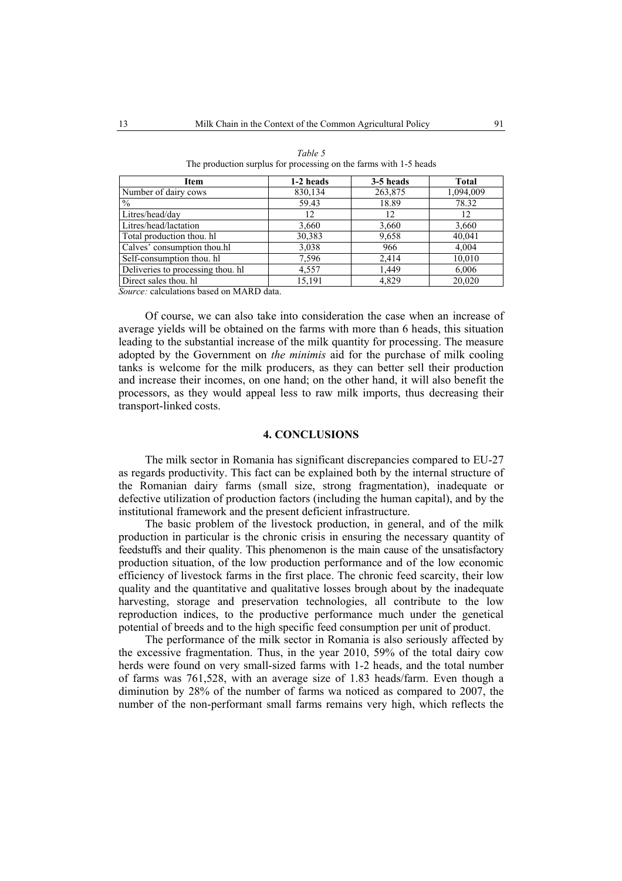| 1-2 heads | 3-5 heads | Total     |
|-----------|-----------|-----------|
| 830,134   | 263,875   | 1,094,009 |
| 59.43     | 18.89     | 78.32     |
| 12        | 12        | 12        |
| 3,660     | 3,660     | 3,660     |
| 30,383    | 9,658     | 40,041    |
| 3,038     | 966       | 4,004     |
| 7,596     | 2,414     | 10,010    |
| 4,557     | 1,449     | 6,006     |
| 15,191    | 4,829     | 20.020    |
|           |           |           |

| Table 5                                                           |  |  |  |  |  |  |  |
|-------------------------------------------------------------------|--|--|--|--|--|--|--|
| The production surplus for processing on the farms with 1-5 heads |  |  |  |  |  |  |  |

*Source:* calculations based on MARD data.

Of course, we can also take into consideration the case when an increase of average yields will be obtained on the farms with more than 6 heads, this situation leading to the substantial increase of the milk quantity for processing. The measure adopted by the Government on *the minimis* aid for the purchase of milk cooling tanks is welcome for the milk producers, as they can better sell their production and increase their incomes, on one hand; on the other hand, it will also benefit the processors, as they would appeal less to raw milk imports, thus decreasing their transport-linked costs.

#### **4. CONCLUSIONS**

The milk sector in Romania has significant discrepancies compared to EU-27 as regards productivity. This fact can be explained both by the internal structure of the Romanian dairy farms (small size, strong fragmentation), inadequate or defective utilization of production factors (including the human capital), and by the institutional framework and the present deficient infrastructure.

The basic problem of the livestock production, in general, and of the milk production in particular is the chronic crisis in ensuring the necessary quantity of feedstuffs and their quality. This phenomenon is the main cause of the unsatisfactory production situation, of the low production performance and of the low economic efficiency of livestock farms in the first place. The chronic feed scarcity, their low quality and the quantitative and qualitative losses brough about by the inadequate harvesting, storage and preservation technologies, all contribute to the low reproduction indices, to the productive performance much under the genetical potential of breeds and to the high specific feed consumption per unit of product.

The performance of the milk sector in Romania is also seriously affected by the excessive fragmentation. Thus, in the year 2010, 59% of the total dairy cow herds were found on very small-sized farms with 1-2 heads, and the total number of farms was 761,528, with an average size of 1.83 heads/farm. Even though a diminution by 28% of the number of farms wa noticed as compared to 2007, the number of the non-performant small farms remains very high, which reflects the